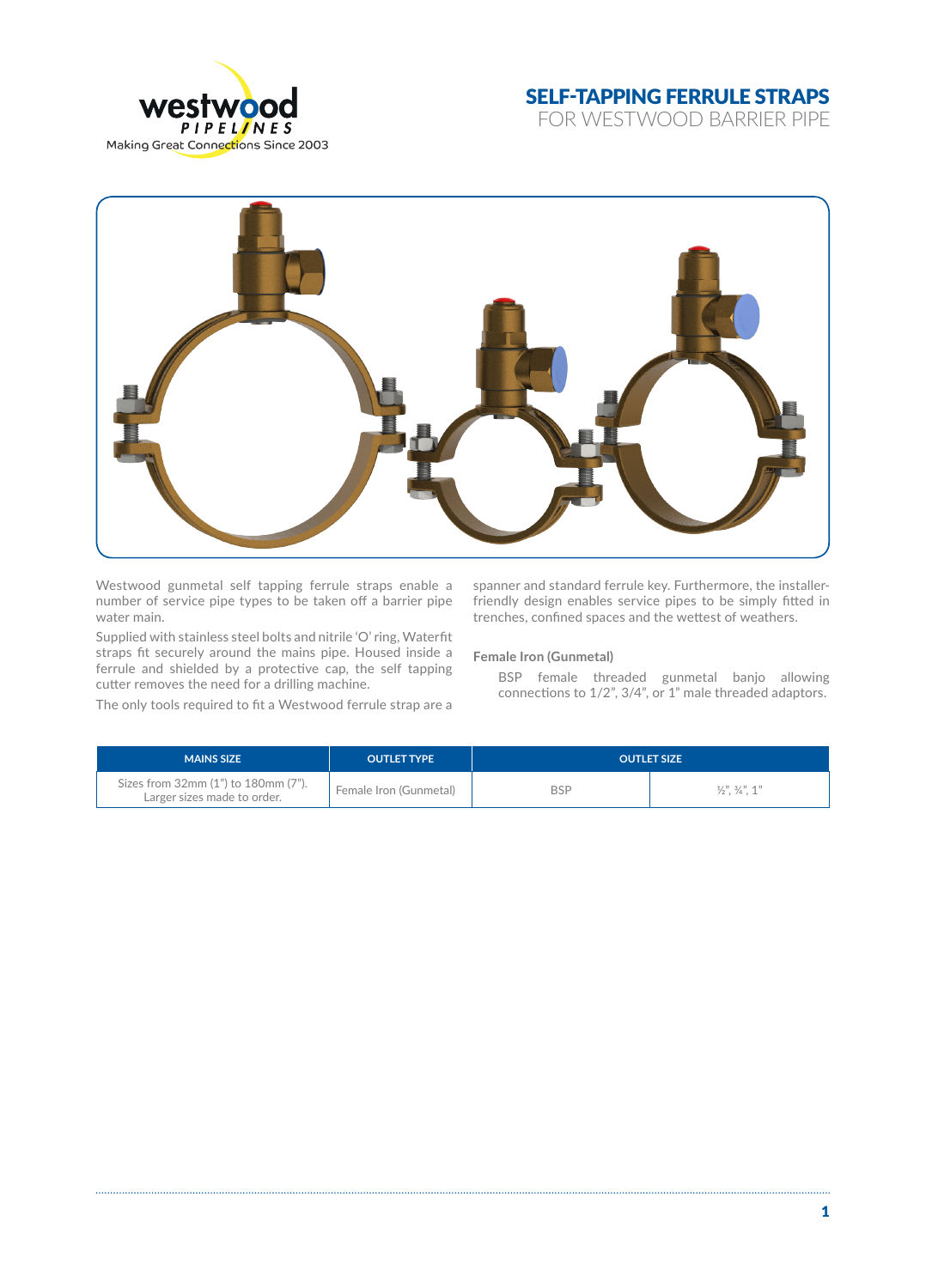

## SELF-TAPPING FERRULE STRAPS

FOR WESTWOOD BARRIER PIPE



Westwood gunmetal self tapping ferrule straps enable a number of service pipe types to be taken off a barrier pipe water main.

Supplied with stainless steel bolts and nitrile 'O' ring, Waterfit straps fit securely around the mains pipe. Housed inside a ferrule and shielded by a protective cap, the self tapping cutter removes the need for a drilling machine.

The only tools required to fit a Westwood ferrule strap are a

spanner and standard ferrule key. Furthermore, the installerfriendly design enables service pipes to be simply fitted in trenches, confined spaces and the wettest of weathers.

**Female Iron (Gunmetal)**

BSP female threaded gunmetal banjo allowing connections to 1/2", 3/4", or 1" male threaded adaptors.

| <b>MAINS SIZE</b>                                                  | <b>OUTLET TYPE</b>     | <b>OUTLET SIZE</b> |                                               |
|--------------------------------------------------------------------|------------------------|--------------------|-----------------------------------------------|
| Sizes from 32mm (1") to 180mm (7").<br>Larger sizes made to order. | Female Iron (Gunmetal) | BSP                | $\frac{1}{2}$ , $\frac{3}{4}$ , $\frac{1}{2}$ |

. . . . . . . . . . .